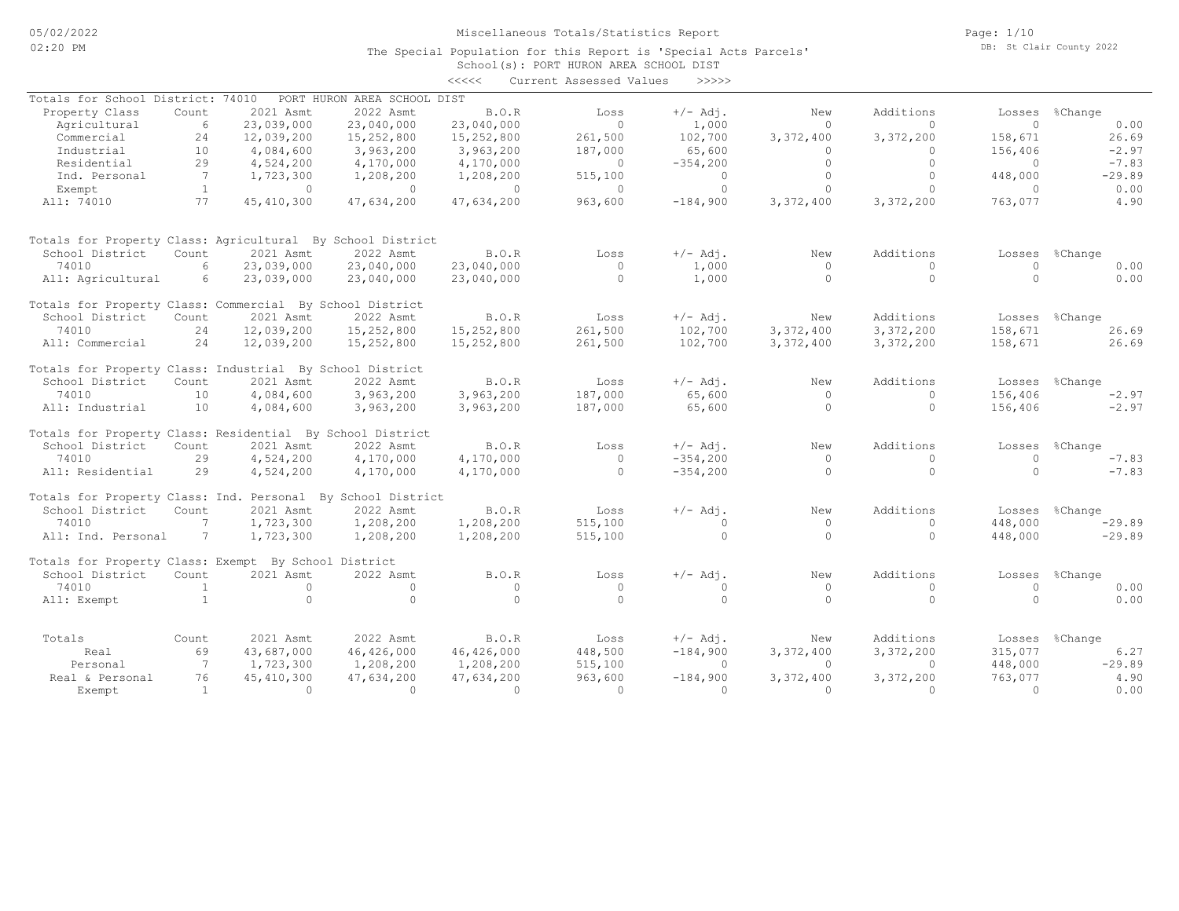#### School(s): PORT HURON AREA SCHOOL DIST The Special Population for this Report is 'Special Acts Parcels'

|                                                             |                |              |                             | <<<<         | Current Assessed Values | >>>>>       |           |           |          |                |
|-------------------------------------------------------------|----------------|--------------|-----------------------------|--------------|-------------------------|-------------|-----------|-----------|----------|----------------|
| Totals for School District: 74010                           |                |              | PORT HURON AREA SCHOOL DIST |              |                         |             |           |           |          |                |
| Property Class                                              | Count          | 2021 Asmt    | 2022 Asmt                   | B.O.R        | Loss                    | $+/-$ Adj.  | New       | Additions | Losses   | %Change        |
| Agricultural                                                | 6              | 23,039,000   | 23,040,000                  | 23,040,000   | $\Omega$                | 1,000       | $\Omega$  | $\Omega$  | $\circ$  | 0.00           |
| Commercial                                                  | 24             | 12,039,200   | 15,252,800                  | 15,252,800   | 261,500                 | 102,700     | 3,372,400 | 3,372,200 | 158,671  | 26.69          |
| Industrial                                                  | 10             | 4,084,600    | 3,963,200                   | 3,963,200    | 187,000                 | 65,600      | $\bigcap$ | $\Omega$  | 156,406  | $-2.97$        |
| Residential                                                 | 29             | 4,524,200    | 4,170,000                   | 4,170,000    | $\circ$                 | $-354,200$  | $\Omega$  | $\Omega$  | $\Omega$ | $-7.83$        |
| Ind. Personal                                               | 7              | 1,723,300    | 1,208,200                   | 1,208,200    | 515,100                 | $\circ$     | $\Omega$  | $\Omega$  | 448,000  | $-29.89$       |
| Exempt                                                      | <sup>1</sup>   | $\circ$      | $\Omega$                    | $\Omega$     | $\circ$                 | $\circ$     | $\Omega$  | $\Omega$  | $\Omega$ | 0.00           |
| All: 74010                                                  | 77             | 45, 410, 300 | 47,634,200                  | 47,634,200   | 963,600                 | $-184,900$  | 3,372,400 | 3,372,200 | 763,077  | 4.90           |
| Totals for Property Class: Agricultural By School District  |                |              |                             |              |                         |             |           |           |          |                |
| School District                                             | Count          | 2021 Asmt    | 2022 Asmt                   | B.O.R        | Loss                    | $+/-$ Adj.  | New       | Additions | Losses   | %Change        |
| 74010                                                       | 6              | 23,039,000   | 23,040,000                  | 23,040,000   | $\Omega$                | 1,000       | $\Omega$  | $\Omega$  | $\Omega$ | 0.00           |
| All: Agricultural                                           | 6              | 23,039,000   | 23,040,000                  | 23,040,000   | $\circ$                 | 1,000       | $\circ$   | $\circ$   | $\Omega$ | 0.00           |
| Totals for Property Class: Commercial By School District    |                |              |                             |              |                         |             |           |           |          |                |
| School District                                             | Count          | 2021 Asmt    | 2022 Asmt                   | B.O.R        | Loss                    | $+/-$ Adj.  | New       | Additions |          | Losses %Change |
| 74010                                                       | 24             | 12,039,200   | 15,252,800                  | 15,252,800   | 261,500                 | 102,700     | 3,372,400 | 3,372,200 | 158,671  | 26.69          |
| All: Commercial                                             | 24             | 12,039,200   | 15,252,800                  | 15,252,800   | 261,500                 | 102,700     | 3,372,400 | 3,372,200 | 158,671  | 26.69          |
| Totals for Property Class: Industrial By School District    |                |              |                             |              |                         |             |           |           |          |                |
| School District                                             | Count          | 2021 Asmt    | 2022 Asmt                   | B.O.R        | Loss                    | $+/-$ Adj.  | New       | Additions | Losses   | %Change        |
| 74010                                                       | 10             | 4,084,600    | 3,963,200                   | 3,963,200    | 187,000                 | 65,600      | $\circ$   | $\circ$   | 156,406  | $-2.97$        |
| All: Industrial                                             | 10             | 4,084,600    | 3,963,200                   | 3,963,200    | 187,000                 | 65,600      | $\circ$   | $\circ$   | 156,406  | $-2.97$        |
| Totals for Property Class: Residential By School District   |                |              |                             |              |                         |             |           |           |          |                |
| School District                                             | Count          | 2021 Asmt    | 2022 Asmt                   | B.O.R        | Loss                    | $+/-$ Adj.  | New       | Additions | Losses   | %Change        |
| 74010                                                       | 29             | 4,524,200    | 4,170,000                   | 4,170,000    | $\Omega$                | $-354,200$  | $\Omega$  | $\Omega$  | $\Omega$ | $-7.83$        |
| All: Residential                                            | 29             | 4,524,200    | 4,170,000                   | 4,170,000    | $\Omega$                | $-354, 200$ | $\Omega$  | $\Omega$  | $\Omega$ | $-7.83$        |
| Totals for Property Class: Ind. Personal By School District |                |              |                             |              |                         |             |           |           |          |                |
| School District                                             | Count          | 2021 Asmt    | 2022 Asmt                   | <b>B.O.R</b> | Loss                    | $+/-$ Adj.  | New       | Additions |          | Losses %Change |
| 74010                                                       | 7              | 1,723,300    | 1,208,200                   | 1,208,200    | 515,100                 | $\circ$     | $\circ$   | $\Omega$  | 448,000  | $-29.89$       |
| All: Ind. Personal                                          | 7              | 1,723,300    | 1,208,200                   | 1,208,200    | 515,100                 | $\Omega$    | $\Omega$  | $\Omega$  | 448,000  | $-29.89$       |
| Totals for Property Class: Exempt By School District        |                |              |                             |              |                         |             |           |           |          |                |
| School District                                             | Count          | 2021 Asmt    | 2022 Asmt                   | B.O.R        | Loss                    | $+/-$ Adj.  | New       | Additions | Losses   | %Change        |
| 74010                                                       | <sup>1</sup>   | $\circ$      | $\circ$                     | $\circ$      | $\circ$                 | $\circ$     | $\circ$   | $\circ$   | $\Omega$ | 0.00           |
| All: Exempt                                                 | $\overline{1}$ | $\Omega$     | $\Omega$                    | $\Omega$     | $\Omega$                | $\Omega$    | $\cap$    | $\Omega$  | $\Omega$ | 0.00           |
| Totals                                                      | Count          | 2021 Asmt    | 2022 Asmt                   | B.O.R        | Loss                    | $+/-$ Adj.  | New       | Additions | Losses   | %Change        |
| Real                                                        | 69             | 43,687,000   | 46,426,000                  | 46,426,000   | 448,500                 | $-184,900$  | 3,372,400 | 3,372,200 | 315,077  | 6.27           |
| Personal                                                    | 7              | 1,723,300    | 1,208,200                   | 1,208,200    | 515,100                 | $\circ$     | $\Omega$  | $\Omega$  | 448,000  | $-29.89$       |
| Real & Personal                                             | 76             | 45, 410, 300 | 47,634,200                  | 47,634,200   | 963,600                 | $-184,900$  | 3,372,400 | 3,372,200 | 763,077  | 4.90           |
| Exempt                                                      | $\overline{1}$ | $\Omega$     | $\Omega$                    | $\Omega$     | $\cap$                  | $\Omega$    | $\Omega$  | $\Omega$  | $\Omega$ | 0.00           |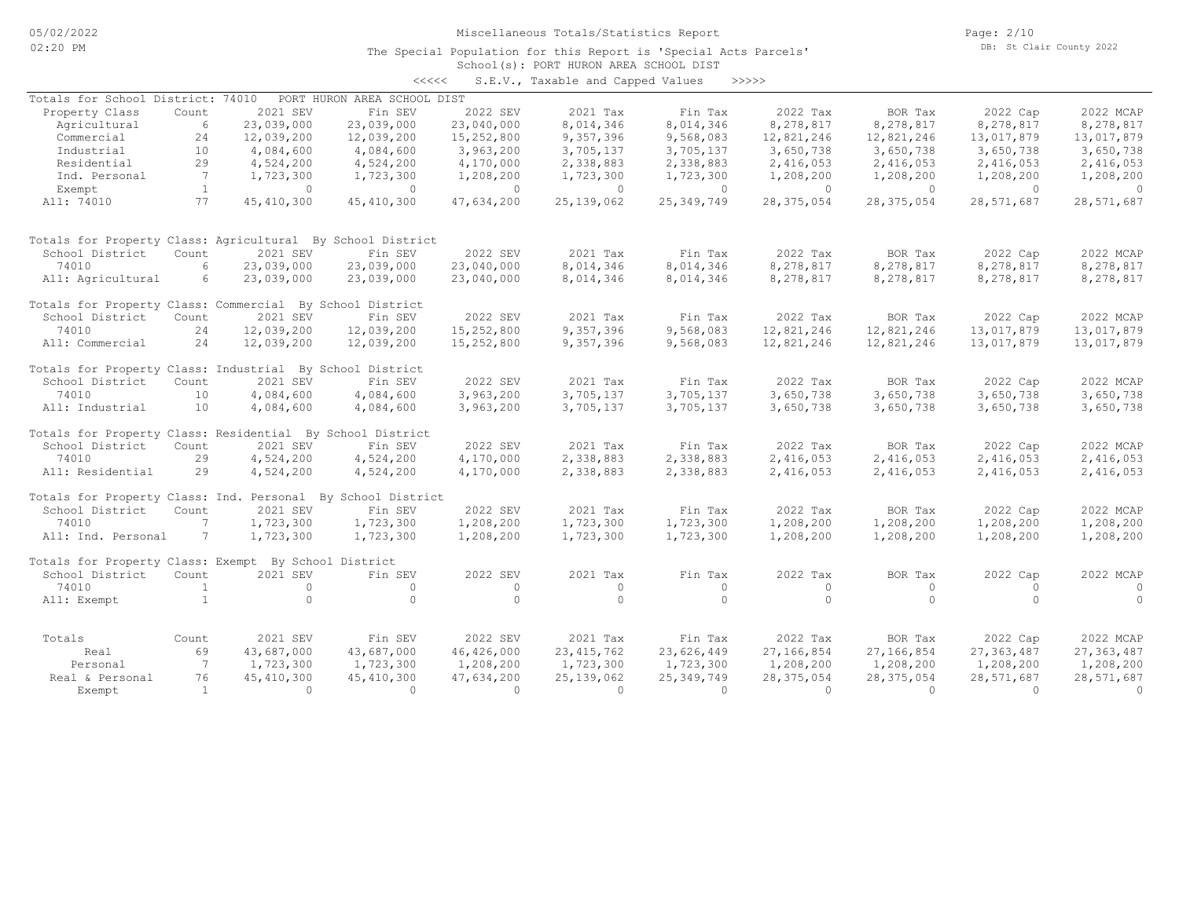## School(s): PORT HURON AREA SCHOOL DIST The Special Population for this Report is 'Special Acts Parcels' <<<<< S.E.V., Taxable and Capped Values >>>>>

| Totals for School District: 74010                          |                 |              | PORT HURON AREA SCHOOL DIST |              |              |              |              |              |              |            |
|------------------------------------------------------------|-----------------|--------------|-----------------------------|--------------|--------------|--------------|--------------|--------------|--------------|------------|
| Property Class                                             | Count           | 2021 SEV     | Fin SEV                     | 2022 SEV     | 2021 Tax     | Fin Tax      | 2022 Tax     | BOR Tax      | 2022 Cap     | 2022 MCAP  |
| Agricultural                                               | 6               | 23,039,000   | 23,039,000                  | 23,040,000   | 8,014,346    | 8,014,346    | 8,278,817    | 8,278,817    | 8,278,817    | 8,278,817  |
| Commercial                                                 | 24              | 12,039,200   | 12,039,200                  | 15,252,800   | 9,357,396    | 9,568,083    | 12,821,246   | 12,821,246   | 13,017,879   | 13,017,879 |
| Industrial                                                 | 10              | 4,084,600    | 4,084,600                   | 3,963,200    | 3,705,137    | 3,705,137    | 3,650,738    | 3,650,738    | 3,650,738    | 3,650,738  |
| Residential                                                | 29              | 4,524,200    | 4,524,200                   | 4,170,000    | 2,338,883    | 2,338,883    | 2,416,053    | 2,416,053    | 2,416,053    | 2,416,053  |
| Ind. Personal                                              | 7               | 1,723,300    | 1,723,300                   | 1,208,200    | 1,723,300    | 1,723,300    | 1,208,200    | 1,208,200    | 1,208,200    | 1,208,200  |
| Exempt                                                     | <sup>1</sup>    | $\circ$      | $\Omega$                    | $\circ$      | $\Omega$     | $\circ$      | $\Omega$     | $\Omega$     | $\Omega$     | $\Omega$   |
| All: 74010                                                 | 77              | 45, 410, 300 | 45, 410, 300                | 47,634,200   | 25, 139, 062 | 25, 349, 749 | 28, 375, 054 | 28, 375, 054 | 28,571,687   | 28,571,687 |
| Totals for Property Class: Agricultural By School District |                 |              |                             |              |              |              |              |              |              |            |
| School District                                            | Count           | 2021 SEV     | Fin SEV                     | 2022 SEV     | 2021 Tax     | Fin Tax      | 2022 Tax     | BOR Tax      | 2022 Cap     | 2022 MCAP  |
| 74010                                                      | 6               | 23,039,000   | 23,039,000                  | 23,040,000   | 8,014,346    | 8,014,346    | 8,278,817    | 8,278,817    | 8,278,817    | 8,278,817  |
| All: Agricultural                                          | 6               | 23,039,000   | 23,039,000                  | 23,040,000   | 8,014,346    | 8,014,346    | 8,278,817    | 8,278,817    | 8,278,817    | 8,278,817  |
| Totals for Property Class: Commercial By School District   |                 |              |                             |              |              |              |              |              |              |            |
| School District                                            | Count           | 2021 SEV     | Fin SEV                     | 2022 SEV     | 2021 Tax     | Fin Tax      | 2022 Tax     | BOR Tax      | 2022 Cap     | 2022 MCAP  |
| 74010                                                      | 24              | 12,039,200   | 12,039,200                  | 15,252,800   | 9,357,396    | 9,568,083    | 12,821,246   | 12,821,246   | 13,017,879   | 13,017,879 |
| All: Commercial                                            | 24              | 12,039,200   | 12,039,200                  | 15,252,800   | 9,357,396    | 9,568,083    | 12,821,246   | 12,821,246   | 13,017,879   | 13,017,879 |
| Totals for Property Class: Industrial By School District   |                 |              |                             |              |              |              |              |              |              |            |
| School District                                            | Count           | 2021 SEV     | Fin SEV                     | 2022 SEV     | 2021 Tax     | Fin Tax      | 2022 Tax     | BOR Tax      | 2022 Cap     | 2022 MCAP  |
| 74010                                                      | 10              | 4,084,600    | 4,084,600                   | 3,963,200    | 3,705,137    | 3,705,137    | 3,650,738    | 3,650,738    | 3,650,738    | 3,650,738  |
| All: Industrial                                            | 10              | 4,084,600    | 4,084,600                   | 3,963,200    | 3,705,137    | 3,705,137    | 3,650,738    | 3,650,738    | 3,650,738    | 3,650,738  |
| Totals for Property Class: Residential By School District  |                 |              |                             |              |              |              |              |              |              |            |
| School District                                            | Count           | 2021 SEV     | Fin SEV                     | 2022 SEV     | 2021 Tax     | Fin Tax      | 2022 Tax     | BOR Tax      | 2022 Cap     | 2022 MCAP  |
| 74010                                                      | 29              | 4,524,200    | 4,524,200                   | 4,170,000    | 2,338,883    | 2,338,883    | 2,416,053    | 2,416,053    | 2,416,053    | 2,416,053  |
| All: Residential                                           | 29              | 4,524,200    | 4,524,200                   | 4,170,000    | 2,338,883    | 2,338,883    | 2,416,053    | 2,416,053    | 2,416,053    | 2,416,053  |
| Totals for Property Class: Ind. Personal                   |                 |              | By School District          |              |              |              |              |              |              |            |
| School District                                            | Count           | 2021 SEV     | Fin SEV                     | 2022 SEV     | 2021 Tax     | Fin Tax      | 2022 Tax     | BOR Tax      | 2022 Cap     | 2022 MCAP  |
| 74010                                                      | $7\phantom{.0}$ | 1,723,300    | 1,723,300                   | 1,208,200    | 1,723,300    | 1,723,300    | 1,208,200    | 1,208,200    | 1,208,200    | 1,208,200  |
| All: Ind. Personal                                         | 7               | 1,723,300    | 1,723,300                   | 1,208,200    | 1,723,300    | 1,723,300    | 1,208,200    | 1,208,200    | 1,208,200    | 1,208,200  |
| Totals for Property Class: Exempt By School District       |                 |              |                             |              |              |              |              |              |              |            |
| School District                                            | Count           | 2021 SEV     | Fin SEV                     | 2022 SEV     | 2021 Tax     | Fin Tax      | 2022 Tax     | BOR Tax      | 2022 Cap     | 2022 MCAP  |
| 74010                                                      | $\overline{1}$  | $\Omega$     | $\Omega$                    | $\Omega$     | $\Omega$     | $\Omega$     | $\Omega$     | $\Omega$     |              |            |
| All: Exempt                                                | <sup>1</sup>    | $\circ$      | $\Omega$                    | $\mathbf{0}$ | $\circ$      | $\circ$      | $\Omega$     | $\Omega$     |              |            |
| Totals                                                     | Count           | 2021 SEV     | Fin SEV                     | 2022 SEV     | 2021 Tax     | Fin Tax      | 2022 Tax     | BOR Tax      | 2022 Cap     | 2022 MCAP  |
| Real                                                       | 69              | 43,687,000   | 43,687,000                  | 46,426,000   | 23, 415, 762 | 23,626,449   | 27,166,854   | 27,166,854   | 27, 363, 487 | 27,363,487 |
| Personal                                                   | 7               | 1,723,300    | 1,723,300                   | 1,208,200    | 1,723,300    | 1,723,300    | 1,208,200    | 1,208,200    | 1,208,200    | 1,208,200  |
| Real & Personal                                            | 76              | 45, 410, 300 | 45, 410, 300                | 47,634,200   | 25, 139, 062 | 25, 349, 749 | 28, 375, 054 | 28, 375, 054 | 28,571,687   | 28,571,687 |
| Exempt                                                     | $\overline{1}$  | $\Omega$     | $\Omega$                    | $\Omega$     | $\Omega$     | $\Omega$     | $\cap$       | $\cap$       | $\cap$       | $\circ$    |
|                                                            |                 |              |                             |              |              |              |              |              |              |            |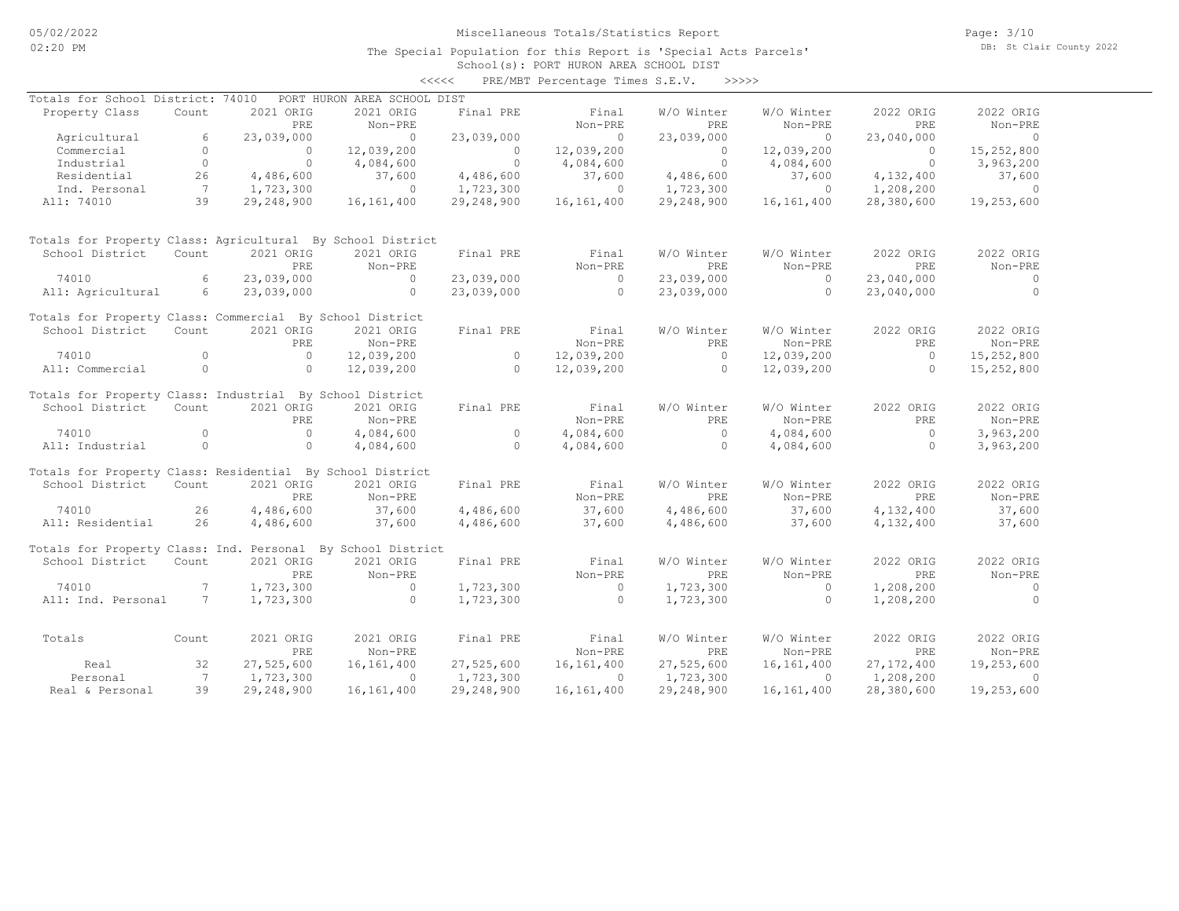## School(s): PORT HURON AREA SCHOOL DIST <<<<< PRE/MBT Percentage Times S.E.V. >>>>>

| Totals for School District: 74010                           |                |            | PORT HURON AREA SCHOOL DIST |                |              |                |              |                |                |
|-------------------------------------------------------------|----------------|------------|-----------------------------|----------------|--------------|----------------|--------------|----------------|----------------|
| Property Class                                              | Count          | 2021 ORIG  | 2021 ORIG                   | Final PRE      | Final        | W/O Winter     | W/O Winter   | 2022 ORIG      | 2022 ORIG      |
|                                                             |                | PRE        | Non-PRE                     |                | Non-PRE      | PRE            | Non-PRE      | PRE            | Non-PRE        |
| Agricultural                                                | 6              | 23,039,000 | $\Omega$                    | 23,039,000     | $\circ$      | 23,039,000     | $\bigcirc$   | 23,040,000     | $\overline{0}$ |
| Commercial                                                  | $\Omega$       | $\circ$    | 12,039,200                  | $\sim$ 0       | 12,039,200   | $\overline{0}$ | 12,039,200   | $\overline{0}$ | 15,252,800     |
| Industrial                                                  | $\Omega$       | $\Omega$   | 4,084,600                   | $\sim$ 0       | 4,084,600    | $\sim$ 0       | 4,084,600    | $\sim$ 0       | 3,963,200      |
| Residential                                                 | 26             | 4,486,600  | 37,600                      | 4,486,600      | 37,600       | 4,486,600      | 37,600       | 4,132,400      | 37,600         |
| Ind. Personal                                               | $7\phantom{0}$ | 1,723,300  | $\Omega$                    | 1,723,300      | $\Omega$     | 1,723,300      | $\Omega$     | 1,208,200      | $\overline{0}$ |
| All: 74010                                                  | 39             | 29,248,900 | 16,161,400                  | 29,248,900     | 16,161,400   | 29,248,900     | 16,161,400   | 28,380,600     | 19,253,600     |
|                                                             |                |            |                             |                |              |                |              |                |                |
| Totals for Property Class: Agricultural By School District  |                |            |                             |                |              |                |              |                |                |
| School District                                             | Count          | 2021 ORIG  | 2021 ORIG                   | Final PRE      | Final        | W/O Winter     | W/O Winter   | 2022 ORIG      | 2022 ORIG      |
|                                                             |                | PRE        | Non-PRE                     |                | Non-PRE      | PRE            | Non-PRE      | PRE            | Non-PRE        |
| 74010                                                       | 6              | 23,039,000 | $\Omega$                    | 23,039,000     | $\circ$      | 23,039,000     | $\Omega$     | 23,040,000     | $\circ$        |
| All: Agricultural                                           | 6              | 23,039,000 | $\circ$                     | 23,039,000     | $\circ$      | 23,039,000     | $\circ$      | 23,040,000     | $\overline{0}$ |
| Totals for Property Class: Commercial By School District    |                |            |                             |                |              |                |              |                |                |
| School District                                             | Count          | 2021 ORIG  | 2021 ORIG                   | Final PRE      | Final        | W/O Winter     | W/O Winter   | 2022 ORIG      | 2022 ORIG      |
|                                                             |                | PRE        | Non-PRE                     |                | Non-PRE      | PRE            | Non-PRE      | PRE            | Non-PRE        |
| 74010                                                       | $\Omega$       | $\circ$    | 12,039,200                  | $\circ$        | 12,039,200   | $\overline{0}$ | 12,039,200   | $\overline{0}$ | 15,252,800     |
| All: Commercial                                             | $\circ$        | $\Omega$   | 12,039,200                  | $\overline{0}$ | 12,039,200   | $\bigcirc$     | 12,039,200   | $\Omega$       | 15,252,800     |
|                                                             |                |            |                             |                |              |                |              |                |                |
| Totals for Property Class: Industrial By School District    |                |            |                             |                |              |                |              |                |                |
| School District                                             | Count          | 2021 ORIG  | 2021 ORIG                   | Final PRE      | Final        | W/O Winter     | W/O Winter   | 2022 ORIG      | 2022 ORIG      |
|                                                             |                | PRE        | Non-PRE                     |                | Non-PRE      | PRE            | Non-PRE      | PRE            | Non-PRE        |
| 74010                                                       | $\circ$        | $\circ$    | 4,084,600                   | $\circ$        | 4,084,600    | $\overline{0}$ | 4,084,600    | $\overline{0}$ | 3,963,200      |
| All: Industrial                                             | $\circ$        | $\circ$    | 4,084,600                   | $\overline{0}$ | 4,084,600    | $\overline{0}$ | 4,084,600    | $\Omega$       | 3,963,200      |
| Totals for Property Class: Residential By School District   |                |            |                             |                |              |                |              |                |                |
| School District                                             | Count          | 2021 ORIG  | 2021 ORIG                   | Final PRE      | Final        | W/O Winter     | W/O Winter   | 2022 ORIG      | 2022 ORIG      |
|                                                             |                | PRE        | Non-PRE                     |                | Non-PRE      | PRE.           | Non-PRE      | PRE            | Non-PRE        |
| 74010                                                       | 26             | 4,486,600  | 37,600                      | 4,486,600      | 37,600       | 4,486,600      | 37,600       | 4,132,400      | 37,600         |
| All: Residential                                            | 26             | 4,486,600  | 37,600                      | 4,486,600      | 37,600       | 4,486,600      | 37,600       | 4,132,400      | 37,600         |
|                                                             |                |            |                             |                |              |                |              |                |                |
| Totals for Property Class: Ind. Personal By School District |                |            |                             |                |              |                |              |                |                |
| School District                                             | Count          | 2021 ORIG  | 2021 ORIG                   | Final PRE      | Final        | W/O Winter     | W/O Winter   | 2022 ORIG      | 2022 ORIG      |
|                                                             |                | PRE        | Non-PRE                     |                | Non-PRE      | PRE            | Non-PRE      | PRE            | Non-PRE        |
| 74010                                                       | $7^{\circ}$    | 1,723,300  | $\Omega$                    | 1,723,300      | $\sim$ 0     | 1,723,300      | $\Omega$     | 1,208,200      | $\circ$        |
| All: Ind. Personal                                          | 7              | 1,723,300  | $\circ$                     | 1,723,300      | $\Omega$     | 1,723,300      | $\circ$      | 1,208,200      | $\overline{0}$ |
|                                                             |                |            |                             |                |              |                |              |                |                |
| Totals                                                      | Count          | 2021 ORIG  | 2021 ORIG                   | Final PRE      | Final        | W/O Winter     | W/O Winter   | 2022 ORIG      | 2022 ORIG      |
|                                                             |                | PRE        | Non-PRE                     |                | Non-PRE      | PRE            | Non-PRE      | PRE            | Non-PRE        |
| Real                                                        | 32             | 27,525,600 | 16, 161, 400                | 27,525,600     | 16,161,400   | 27,525,600     | 16,161,400   | 27, 172, 400   | 19,253,600     |
| Personal                                                    | $\overline{7}$ | 1,723,300  | $\Omega$                    | 1,723,300      | $\Omega$     | 1,723,300      | $\Omega$     | 1,208,200      | $\cap$         |
| Real & Personal                                             | 39             | 29,248,900 | 16, 161, 400                | 29,248,900     | 16, 161, 400 | 29,248,900     | 16, 161, 400 | 28,380,600     | 19,253,600     |
|                                                             |                |            |                             |                |              |                |              |                |                |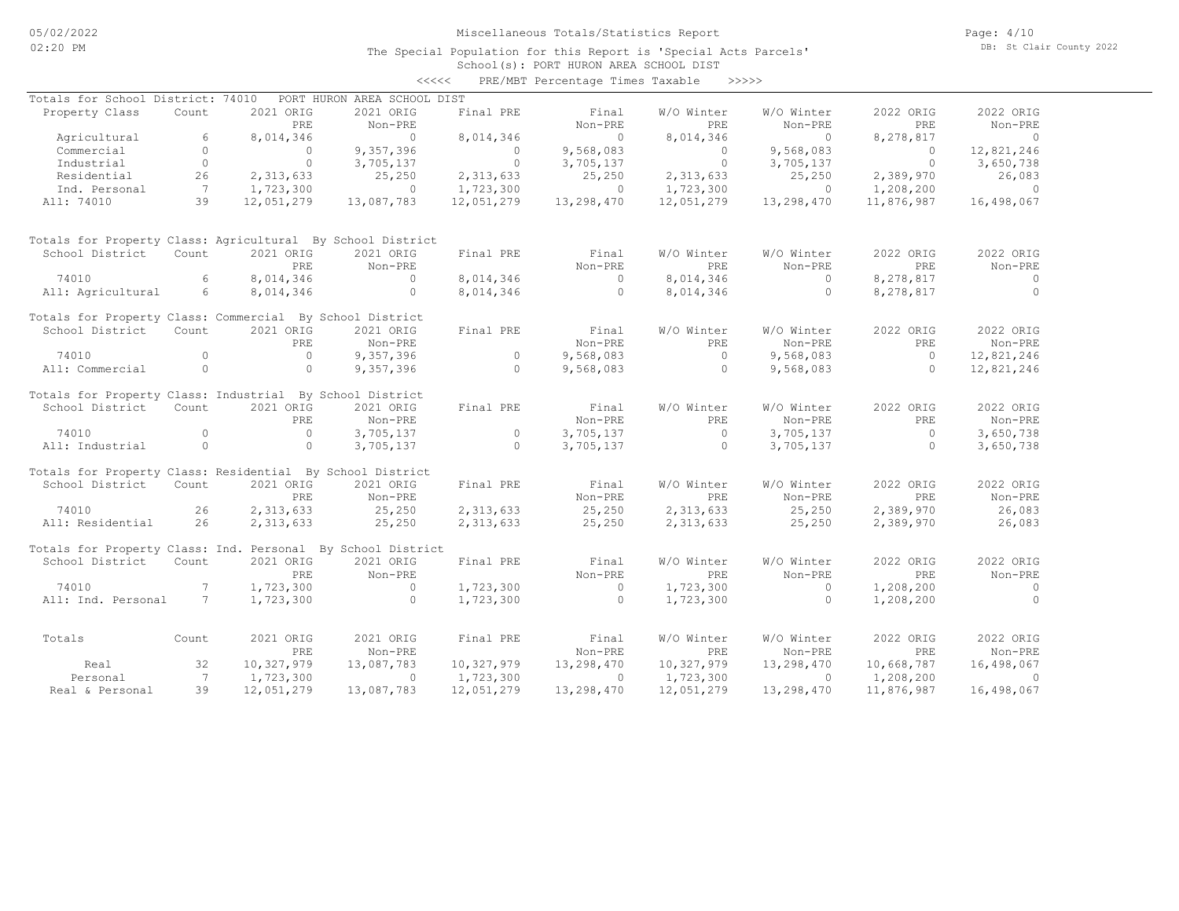Page: 4/10 DB: St Clair County 2022

#### School(s): PORT HURON AREA SCHOOL DIST The Special Population for this Report is 'Special Acts Parcels'

|                                                               |                                            |                          |                                                                                                                                                                                                                                                                                | $\prec\prec\prec\prec\prec$           |                                                      | PRE/MBT Percentage Times Taxable >>>>>> |                        |                  |                        |
|---------------------------------------------------------------|--------------------------------------------|--------------------------|--------------------------------------------------------------------------------------------------------------------------------------------------------------------------------------------------------------------------------------------------------------------------------|---------------------------------------|------------------------------------------------------|-----------------------------------------|------------------------|------------------|------------------------|
| Totals for School District: 74010 PORT HURON AREA SCHOOL DIST |                                            |                          |                                                                                                                                                                                                                                                                                |                                       |                                                      |                                         |                        |                  |                        |
| Property Class                                                | Count                                      | 2021 ORIG<br>PRE         | 2021 ORIG<br>Non-PRE                                                                                                                                                                                                                                                           | Final PRE                             | Final<br>Non-PRE                                     | W/O Winter<br>PRE                       | W/O Winter<br>Non-PRE  | 2022 ORIG<br>PRE | 2022 ORIG<br>Non-PRE   |
| Agricultural                                                  | 6                                          | 8,014,346                | $\sim$ 0                                                                                                                                                                                                                                                                       | 8,014,346                             | $\overline{0}$                                       | 8,014,346                               | $\sim$ 0               | 8,278,817        | $\sim$ 0               |
| Commercial                                                    | $\circ$                                    | $\overline{0}$           | 9,357,396                                                                                                                                                                                                                                                                      |                                       | 9,568,083                                            |                                         | 9,568,083              | $\overline{0}$   | 12,821,246             |
| Industrial                                                    | $\overline{0}$                             | $\overline{0}$           | 3,705,137                                                                                                                                                                                                                                                                      | $\begin{array}{c} 0 \\ 0 \end{array}$ | 3,705,137                                            | $\begin{array}{c} 0 \\ 0 \end{array}$   | 3,705,137              | $\overline{0}$   | 3,650,738              |
| Residential                                                   | 26                                         | 2,313,633                | 25,250                                                                                                                                                                                                                                                                         | 2,313,633                             | 25,250                                               | 2,313,633                               | 25,250                 | 2,389,970        | 26,083                 |
| Ind. Personal                                                 |                                            | 1,723,300                | $\sim$ 0                                                                                                                                                                                                                                                                       | 1,723,300                             | $\sim$ 0                                             | 1,723,300                               | $\sim$ 0               | 1,208,200        | $\sim$ 0               |
| All: 74010                                                    | al $\begin{array}{cc} 7 \\ 39 \end{array}$ | 12,051,279               | 13,087,783                                                                                                                                                                                                                                                                     | 12,051,279                            | 13,298,470                                           | 12,051,279                              | 13,298,470             | 11,876,987       | 16,498,067             |
| Totals for Property Class: Agricultural By School District    |                                            |                          |                                                                                                                                                                                                                                                                                |                                       |                                                      |                                         |                        |                  |                        |
| School District                                               | Count                                      | 2021 ORIG                | 2021 ORIG                                                                                                                                                                                                                                                                      | Final PRE                             | Final                                                | W/O Winter                              | W/O Winter             | 2022 ORIG        | 2022 ORIG              |
|                                                               |                                            | PRE                      | Non-PRE                                                                                                                                                                                                                                                                        |                                       |                                                      | PRE                                     | Non-PRE                | PRE              | Non-PRE                |
| 74010                                                         | 6                                          | 8,014,346                | $\sim$ 0                                                                                                                                                                                                                                                                       | 8,014,346                             | $\begin{array}{c}\n\text{Non-FKE} \\ 0\n\end{array}$ | 8,014,346                               | $\sim$ 0               | 8,278,817        | $\overline{0}$         |
| All: Agricultural 6                                           |                                            | 8,014,346                | $\sim$ 000 $\sim$ 000 $\sim$ 000 $\sim$ 000 $\sim$ 000 $\sim$ 000 $\sim$ 000 $\sim$ 000 $\sim$ 000 $\sim$ 000 $\sim$ 000 $\sim$ 000 $\sim$ 000 $\sim$ 000 $\sim$ 000 $\sim$ 000 $\sim$ 000 $\sim$ 000 $\sim$ 000 $\sim$ 000 $\sim$ 000 $\sim$ 000 $\sim$ 000 $\sim$ 000 $\sim$ | 8,014,346                             | $\sim$ 0                                             | 8,014,346                               | $\sim$ 0               | 8,278,817        | $\overline{0}$         |
| Totals for Property Class: Commercial By School District      |                                            |                          |                                                                                                                                                                                                                                                                                |                                       |                                                      |                                         |                        |                  |                        |
| School District                                               | Count                                      | 2021 ORIG                | 2021 ORIG                                                                                                                                                                                                                                                                      | Final PRE                             | Final                                                | W/O Winter                              | W/O Winter             | 2022 ORIG        | 2022 ORIG              |
|                                                               |                                            | PRE                      | Non-PRE                                                                                                                                                                                                                                                                        |                                       | Non-PRE                                              | PRE.                                    | Non-PRE                | PRE              | Non-PRE                |
| 74010                                                         | $\circ$                                    | $\overline{0}$           | 9,357,396                                                                                                                                                                                                                                                                      | $\overline{a}$                        | 9,568,083                                            | $\overline{0}$                          | 9,568,083              | $\overline{0}$   | 12,821,246             |
| All: Commercial                                               | $\overline{0}$                             | $\sim$ 0                 | 9,357,396                                                                                                                                                                                                                                                                      | $\sim$ 0                              |                                                      | $9,568,083$ 0                           | 9,568,083              | $\overline{a}$   | 12,821,246             |
| Totals for Property Class: Industrial By School District      |                                            |                          |                                                                                                                                                                                                                                                                                |                                       |                                                      |                                         |                        |                  |                        |
| School District                                               | Count                                      | 2021 ORIG                | 2021 ORIG                                                                                                                                                                                                                                                                      | Final PRE                             | Final                                                | W/O Winter                              | W/O Winter             | 2022 ORIG        | 2022 ORIG              |
|                                                               |                                            | PRE                      | Non-PRE                                                                                                                                                                                                                                                                        |                                       | Non-PRE                                              | PRE                                     | Non-PRE                | PRE              | Non-PRE                |
| 74010                                                         | $\overline{a}$                             | $\overline{0}$           | 3,705,137                                                                                                                                                                                                                                                                      | $\begin{array}{c} 0 \\ 0 \end{array}$ | 3,705,137                                            | $\overline{0}$                          | 3,705,137              | $\overline{0}$   | 3,650,738              |
| All: Industrial                                               | $\overline{0}$                             | $\overline{0}$           | 3,705,137                                                                                                                                                                                                                                                                      |                                       | 3,705,137                                            | $\overline{0}$                          | 3,705,137              | $\overline{0}$   | 3,650,738              |
| Totals for Property Class: Residential By School District     |                                            |                          |                                                                                                                                                                                                                                                                                |                                       |                                                      |                                         |                        |                  |                        |
| School District                                               | Count                                      | 2021 ORIG                | 2021 ORIG                                                                                                                                                                                                                                                                      | Final PRE                             | Final                                                | W/O Winter                              | W/O Winter             | 2022 ORIG        | 2022 ORIG              |
|                                                               |                                            | PRE                      | Non-PRE                                                                                                                                                                                                                                                                        |                                       | Non-PRE                                              | PRE                                     | Non-PRE                | PRE              | Non-PRE                |
| 74010<br>26                                                   |                                            | 2,313,633                | 25,250                                                                                                                                                                                                                                                                         |                                       | 2, 313, 633 25, 250                                  | 2,313,633 25,250                        |                        | 2,389,970        | 26,083                 |
| All: Residential                                              | 26                                         | 2,313,633                | 25,250                                                                                                                                                                                                                                                                         | 2,313,633                             | 25,250                                               | 2,313,633                               | 25,250                 | 2,389,970        | 26,083                 |
| Totals for Property Class: Ind. Personal By School District   |                                            |                          |                                                                                                                                                                                                                                                                                |                                       |                                                      |                                         |                        |                  |                        |
| School District                                               | Count                                      | 2021 ORIG                | 2021 ORIG                                                                                                                                                                                                                                                                      | Final PRE                             | Final                                                | W/O Winter                              | W/O Winter             | 2022 ORIG        | 2022 ORIG              |
|                                                               |                                            | <b>PRE</b>               | Non-PRE                                                                                                                                                                                                                                                                        |                                       | Non-PRE                                              | PRE                                     | Non-PRE                | PRE              | Non-PRE                |
| 74010                                                         | $\sim$ 7                                   | 1,723,300                | $\sim$ 0                                                                                                                                                                                                                                                                       | 1,723,300                             | $\sim$ 0                                             | 1,723,300                               | $\sim$ 0               | 1,208,200        | $\sim$ 0               |
| All: Ind. Personal 7                                          |                                            | 1,723,300                | $\overline{0}$                                                                                                                                                                                                                                                                 | 1,723,300                             | $\overline{0}$                                       | 1,723,300                               | $\sim$ 0               | 1,208,200        | $\overline{0}$         |
|                                                               |                                            |                          | 2021 ORIG                                                                                                                                                                                                                                                                      |                                       | Final                                                |                                         | W/O Winter             |                  | 2022 ORIG              |
| Totals Count                                                  |                                            | 2021 ORIG                |                                                                                                                                                                                                                                                                                | Final PRE                             |                                                      | W/O Winter                              |                        | 2022 ORIG<br>PRE |                        |
| Real                                                          | 32                                         | <b>PRE</b><br>10,327,979 | Non-PRE                                                                                                                                                                                                                                                                        | 10,327,979                            | Non-PRE                                              | PRE<br>10,327,979                       | Non-PRE                |                  | Non-PRE                |
|                                                               | $7\phantom{0}$                             |                          | 13,087,783                                                                                                                                                                                                                                                                     |                                       | 13,298,470                                           |                                         | 13,298,470<br>$\Omega$ | 10,668,787       | 16,498,067<br>$\sim$ 0 |
| Personal                                                      | 39                                         | 1,723,300                | $\circ$<br>13,087,783                                                                                                                                                                                                                                                          | 1,723,300                             | $\sim$ 0                                             | 1,723,300                               |                        | 1,208,200        |                        |
| Real & Personal                                               |                                            | 12,051,279               |                                                                                                                                                                                                                                                                                | 12,051,279                            | 13,298,470                                           | 12,051,279                              | 13,298,470             | 11,876,987       | 16,498,067             |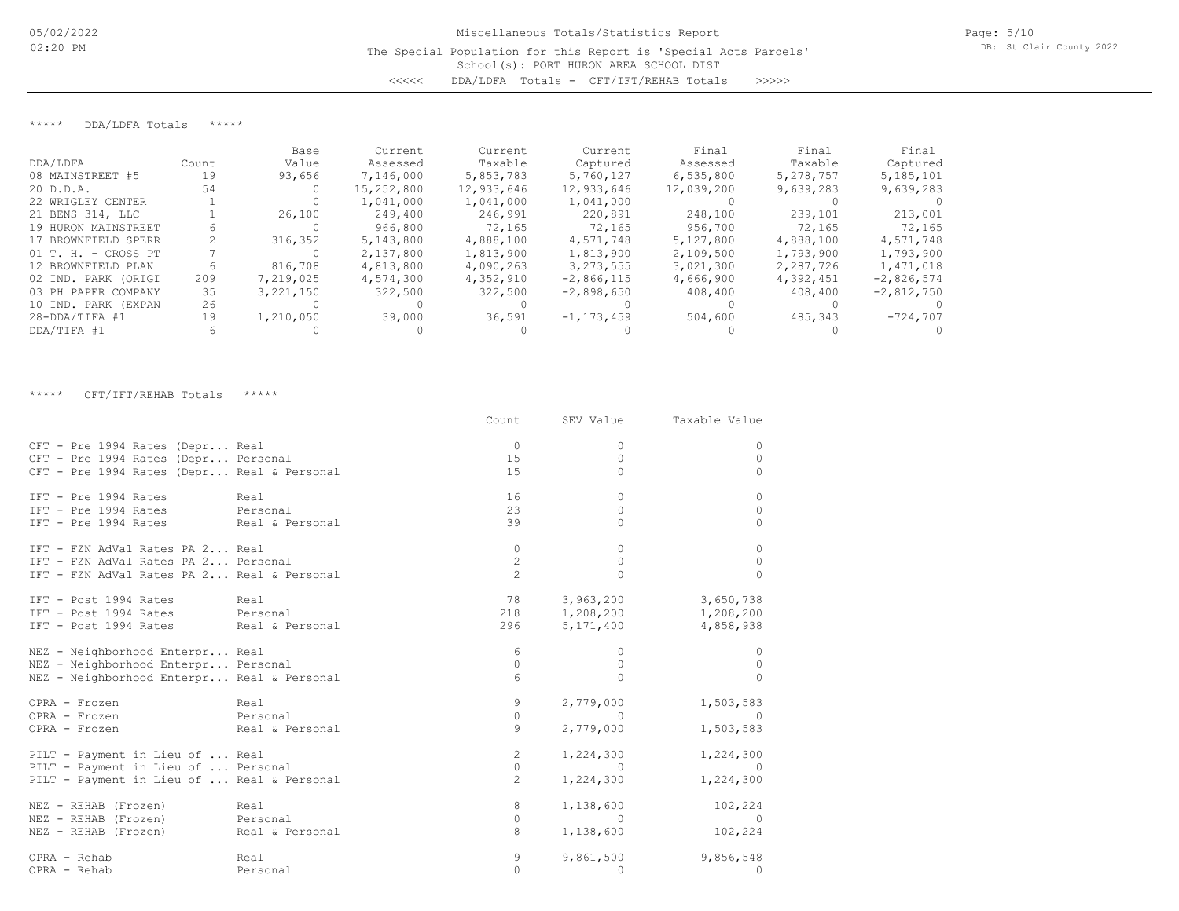## \*\*\*\*\* DDA/LDFA Totals \*\*\*\*\*

|                       |       | Base      | Current    | Current    | Current        | Final      | Final     | Final        |
|-----------------------|-------|-----------|------------|------------|----------------|------------|-----------|--------------|
| DDA/LDFA              | Count | Value     | Assessed   | Taxable    | Captured       | Assessed   | Taxable   | Captured     |
| 08 MAINSTREET #5      | 19    | 93,656    | 7,146,000  | 5,853,783  | 5,760,127      | 6,535,800  | 5,278,757 | 5,185,101    |
| 20 D.D.A.             | 54    |           | 15,252,800 | 12,933,646 | 12,933,646     | 12,039,200 | 9,639,283 | 9,639,283    |
| 22 WRIGLEY CENTER     |       |           | 1,041,000  | 1,041,000  | 1,041,000      |            |           |              |
| 21 BENS 314, LLC      |       | 26,100    | 249,400    | 246,991    | 220,891        | 248,100    | 239,101   | 213,001      |
| 19 HURON MAINSTREET   |       |           | 966,800    | 72,165     | 72,165         | 956,700    | 72,165    | 72,165       |
| 17 BROWNFIELD SPERR   |       | 316,352   | 5,143,800  | 4,888,100  | 4,571,748      | 5,127,800  | 4,888,100 | 4,571,748    |
| $01$ T. H. - CROSS PT |       |           | 2,137,800  | 1,813,900  | 1,813,900      | 2,109,500  | 1,793,900 | 1,793,900    |
| 12 BROWNFIELD PLAN    | h     | 816,708   | 4,813,800  | 4,090,263  | 3, 273, 555    | 3,021,300  | 2,287,726 | 1,471,018    |
| 02 IND. PARK (ORIGI   | 209   | 7,219,025 | 4,574,300  | 4,352,910  | $-2,866,115$   | 4,666,900  | 4,392,451 | $-2,826,574$ |
| 03 PH PAPER COMPANY   | 35    | 3,221,150 | 322,500    | 322,500    | $-2,898,650$   | 408,400    | 408,400   | $-2,812,750$ |
| 10 IND. PARK (EXPAN   | 26    |           |            |            |                |            |           |              |
| $28 - DDA/TIFA$ #1    | 19    | 1,210,050 | 39,000     | 36,591     | $-1, 173, 459$ | 504,600    | 485,343   | $-724,707$   |
| DDA/TIFA #1           |       |           |            |            |                |            |           |              |

#### \*\*\*\*\* CFT/IFT/REHAB Totals \*\*\*\*\*

|                                            |                 | Count                | SEV Value   | Taxable Value           |
|--------------------------------------------|-----------------|----------------------|-------------|-------------------------|
| CFT - Pre 1994 Rates (Depr Real            |                 | $\Omega$             | 0           | $\Omega$                |
| CFT - Pre 1994 Rates (Depr Personal        |                 | 15                   | $\circ$     | $\Omega$                |
| CFT - Pre 1994 Rates (Depr Real & Personal |                 | 15                   | 0           | $\Omega$                |
| IFT - Pre 1994 Rates<br>Real               |                 | 16                   | $\Omega$    | $\Omega$                |
| IFT - Pre 1994 Rates Personal              |                 | 23                   | $\Omega$    | $\Omega$                |
| IFT - Pre 1994 Rates Real & Personal       |                 | 39                   | $\Omega$    | $\bigcap$               |
| IFT - FZN AdVal Rates PA 2 Real            |                 | 0                    | $\Omega$    | $\Omega$                |
| IFT - FZN AdVal Rates PA 2 Personal        |                 | $\mathbf{2}$         | $\Omega$    | $\Omega$                |
| IFT - FZN AdVal Rates PA 2 Real & Personal |                 | $\mathfrak{D}$       | $\Omega$    | $\bigcap$               |
| IFT - Post 1994 Rates Real                 |                 |                      | 3,963,200   | 3,650,738               |
| IFT - Post 1994 Rates Personal             |                 |                      |             | 218 1,208,200 1,208,200 |
| IFT - Post 1994 Rates Real & Personal      |                 | 296                  | 5, 171, 400 | 4,858,938               |
| NEZ - Neighborhood Enterpr Real            |                 | 6                    | $\Omega$    | $\Omega$                |
| NEZ - Neighborhood Enterpr Personal        |                 | $\Omega$             | $\Omega$    | $\Omega$                |
| NEZ - Neighborhood Enterpr Real & Personal |                 | 6                    | $\Omega$    |                         |
| OPRA - Frozen                              | Real            | 9                    | 2,779,000   | 1,503,583               |
| OPRA - Frozen                              | Personal        | $\circ$              | $\sim$ 0    | $\sim$ 0                |
| OPRA - Frozen                              | Real & Personal | 9                    | 2,779,000   | 1,503,583               |
| PILT - Payment in Lieu of  Real            |                 | $\mathbf{2}^{\circ}$ | 1,224,300   | 1,224,300               |
| PILT - Payment in Lieu of  Personal        |                 | $\circ$              | $\bigcirc$  |                         |
| PILT - Payment in Lieu of  Real & Personal |                 | $\overline{2}$       | 1,224,300   | 1,224,300               |
| NEZ - REHAB (Frozen)<br>Real               |                 | 8                    | 1,138,600   | 102,224                 |
| NEZ - REHAB (Frozen) Personal              |                 | $\Omega$             | $\Omega$    | - 0                     |
| NEZ - REHAB (Frozen)                       | Real & Personal | 8                    | 1,138,600   | 102,224                 |
| OPRA - Rehab                               | Real            | 9                    | 9,861,500   | 9,856,548               |
| OPRA - Rehab                               | Personal        | $\Omega$             | $\Omega$    | $\Omega$                |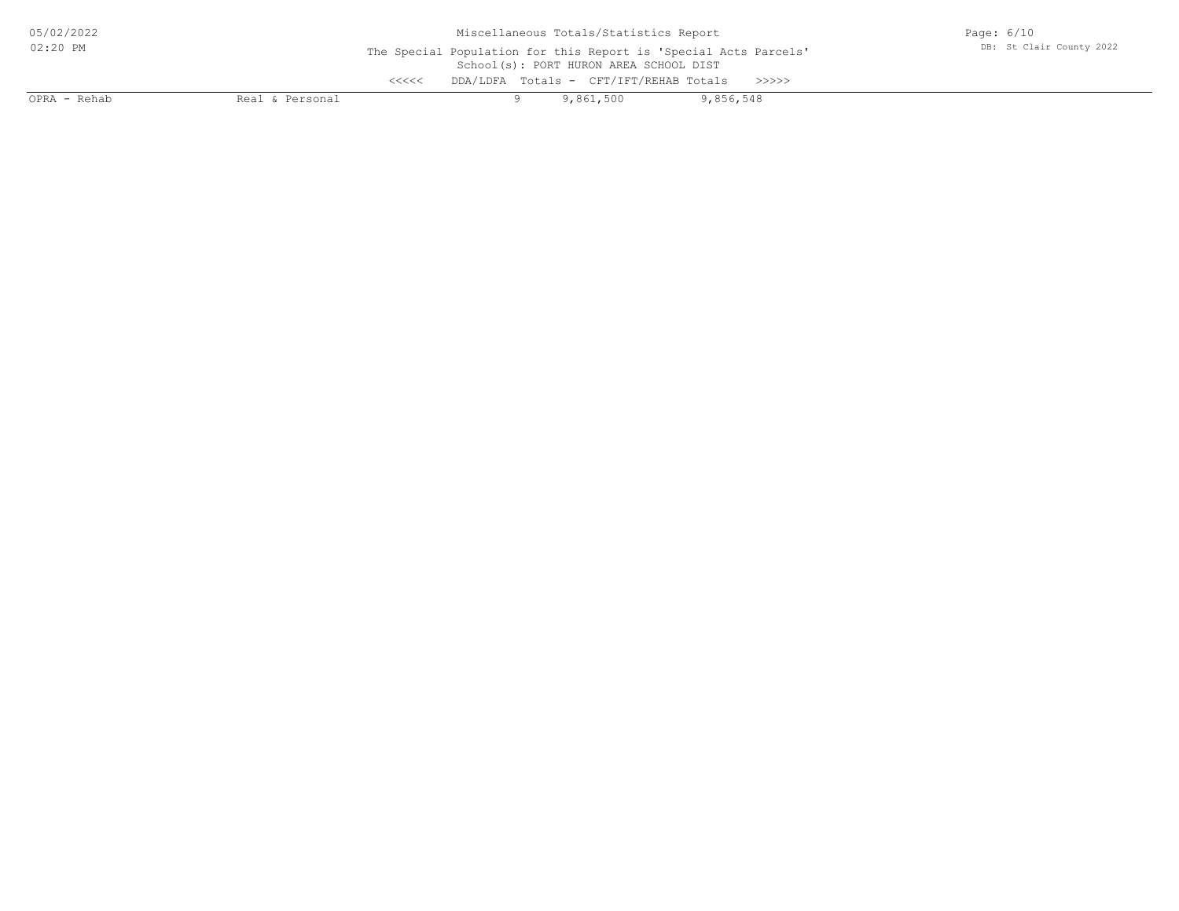| 05/02/2022   | Miscellaneous Totals/Statistics Report                                                                     | Page: $6/10$             |  |  |
|--------------|------------------------------------------------------------------------------------------------------------|--------------------------|--|--|
| 02:20 PM     | The Special Population for this Report is 'Special Acts Parcels'<br>School(s): PORT HURON AREA SCHOOL DIST | DB: St Clair County 2022 |  |  |
|              | DDA/LDFA Totals - CFT/IFT/REHAB Totals<br><<<<                                                             |                          |  |  |
| OPRA - Rehab | Real & Personal                                                                                            | 9,861,500<br>9,856,548   |  |  |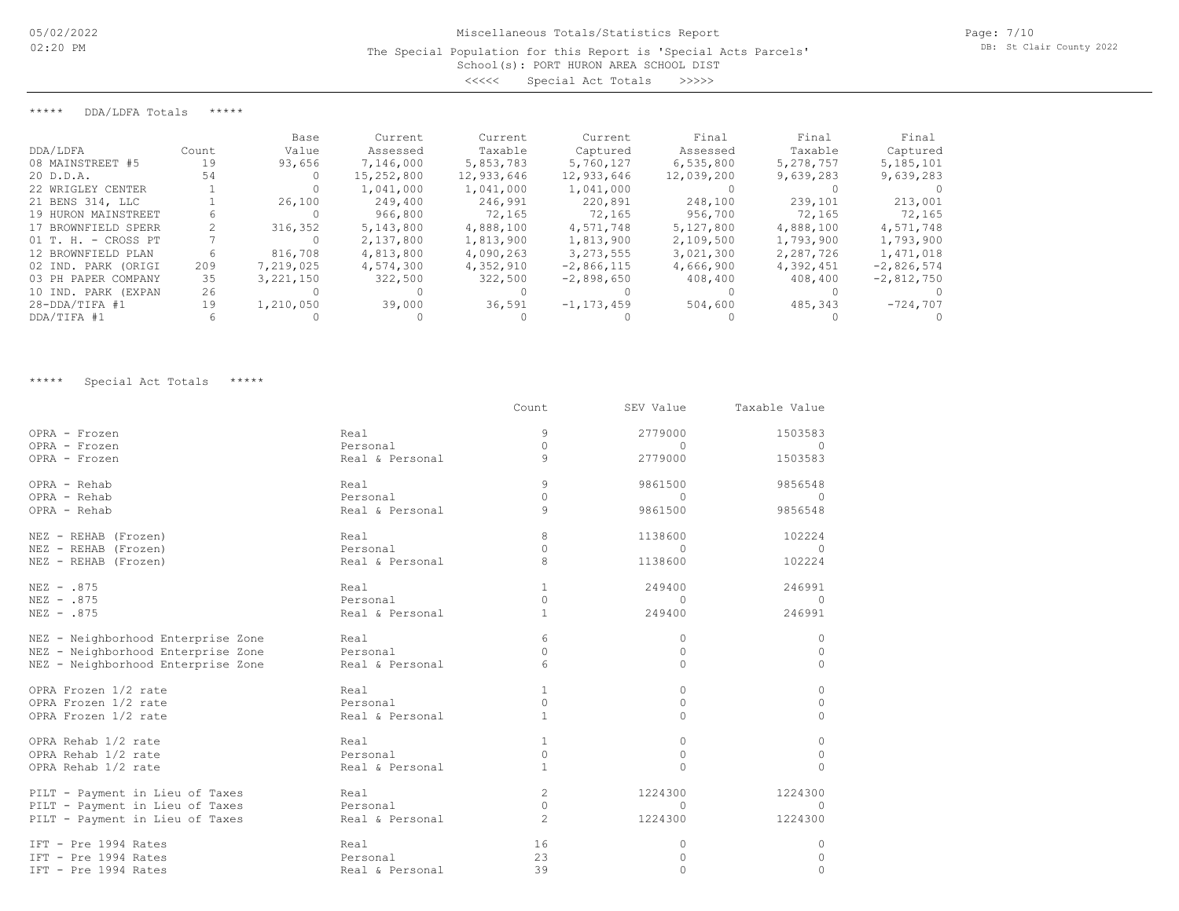## School(s): PORT HURON AREA SCHOOL DIST The Special Population for this Report is 'Special Acts Parcels'

<<<<< Special Act Totals >>>>>

\*\*\*\*\* DDA/LDFA Totals \*\*\*\*\*

|                        |       | Base        | Current    | Current    | Current        | Final      | Final     | Final        |
|------------------------|-------|-------------|------------|------------|----------------|------------|-----------|--------------|
| DDA/LDFA               | Count | Value       | Assessed   | Taxable    | Captured       | Assessed   | Taxable   | Captured     |
| 08 MAINSTREET #5       | 19    | 93,656      | 7,146,000  | 5,853,783  | 5,760,127      | 6,535,800  | 5,278,757 | 5,185,101    |
| 20 D.D.A.              | 54    |             | 15,252,800 | 12,933,646 | 12,933,646     | 12,039,200 | 9,639,283 | 9,639,283    |
| 22 WRIGLEY CENTER      |       |             | 1,041,000  | 1,041,000  | 1,041,000      |            |           |              |
| 21 BENS 314, LLC       |       | 26,100      | 249,400    | 246,991    | 220,891        | 248,100    | 239,101   | 213,001      |
| 19 HURON MAINSTREET    |       |             | 966,800    | 72,165     | 72,165         | 956,700    | 72,165    | 72,165       |
| 17 BROWNFIELD SPERR    |       | 316,352     | 5,143,800  | 4,888,100  | 4,571,748      | 5,127,800  | 4,888,100 | 4,571,748    |
| $01$ T. H. - CROSS PT  |       |             | 2,137,800  | 1,813,900  | 1,813,900      | 2,109,500  | 1,793,900 | 1,793,900    |
| 12 BROWNFIELD PLAN     |       | 816,708     | 4,813,800  | 4,090,263  | 3, 273, 555    | 3,021,300  | 2,287,726 | 1,471,018    |
| 02 IND. PARK (ORIGI    | 209   | 7,219,025   | 4,574,300  | 4,352,910  | $-2,866,115$   | 4,666,900  | 4,392,451 | $-2,826,574$ |
| 03 PH PAPER COMPANY    | 35    | 3, 221, 150 | 322,500    | 322,500    | $-2,898,650$   | 408,400    | 408,400   | $-2,812,750$ |
| 10 IND. PARK<br>(EXPAN | 26    |             |            |            |                |            |           |              |
| $28 - DDA/TIFA$ #1     | 19    | 1,210,050   | 39,000     | 36,591     | $-1, 173, 459$ | 504,600    | 485,343   | $-724,707$   |
| DDA/TIFA #1            |       |             |            |            |                |            |           |              |

\*\*\*\*\* Special Act Totals \*\*\*\*\*

|                                    |                 | Count          | SEV Value | Taxable Value |
|------------------------------------|-----------------|----------------|-----------|---------------|
| OPRA - Frozen                      | Real            | 9              | 2779000   | 1503583       |
| OPRA - Frozen                      | Personal        | $\Omega$       | $\Omega$  | $\Omega$      |
| OPRA - Frozen                      | Real & Personal | 9              | 2779000   | 1503583       |
| OPRA - Rehab                       | Real            | 9              | 9861500   | 9856548       |
| OPRA - Rehab                       | Personal        | $\Omega$       | $\Omega$  | $\bigcap$     |
| OPRA - Rehab                       | Real & Personal | $\mathsf{Q}$   | 9861500   | 9856548       |
| NEZ - REHAB (Frozen)               | Real            | 8              | 1138600   | 102224        |
| NEZ - REHAB (Frozen)               | Personal        | $\Omega$       | $\Omega$  | $\bigcap$     |
| NEZ - REHAB (Frozen)               | Real & Personal | 8              | 1138600   | 102224        |
| NEZ - .875                         | Real            | $\mathbf{1}$   | 249400    | 246991        |
| NEZ - .875                         | Personal        | $\circ$        | $\Omega$  | $\Omega$      |
| NEZ - .875                         | Real & Personal | $\mathbf{1}$   | 249400    | 246991        |
| NEZ - Neighborhood Enterprise Zone | Real            | 6              | 0         | $\Omega$      |
| NEZ - Neighborhood Enterprise Zone | Personal        | $\Omega$       | $\Omega$  | $\Omega$      |
| NEZ - Neighborhood Enterprise Zone | Real & Personal | 6              | $\Omega$  | $\Omega$      |
| OPRA Frozen 1/2 rate               | Real            | $\mathbf{1}$   | $\Omega$  | $\Omega$      |
| OPRA Frozen 1/2 rate               | Personal        | $\circ$        | 0         | $\Omega$      |
| OPRA Frozen 1/2 rate               | Real & Personal | $\mathbf{1}$   | $\Omega$  | $\Omega$      |
| OPRA Rehab 1/2 rate                | Real            | $\mathbf{1}$   | 0         | 0             |
| OPRA Rehab 1/2 rate                | Personal        | $\mathbf{0}$   | $\circ$   | 0             |
| OPRA Rehab 1/2 rate                | Real & Personal | $\mathbf{1}$   | $\Omega$  | $\Omega$      |
| PILT - Payment in Lieu of Taxes    | Real            | $\overline{c}$ | 1224300   | 1224300       |
| PILT - Payment in Lieu of Taxes    | Personal        | $\circ$        | $\Omega$  | $\Omega$      |
| PILT - Payment in Lieu of Taxes    | Real & Personal | $\overline{c}$ | 1224300   | 1224300       |
| IFT - Pre 1994 Rates               | Real            | 16             | 0         | 0             |
| IFT - Pre 1994 Rates               | Personal        | 23             | 0         | $\Omega$      |
| IFT - Pre 1994 Rates               | Real & Personal | 39             | $\Omega$  | $\Omega$      |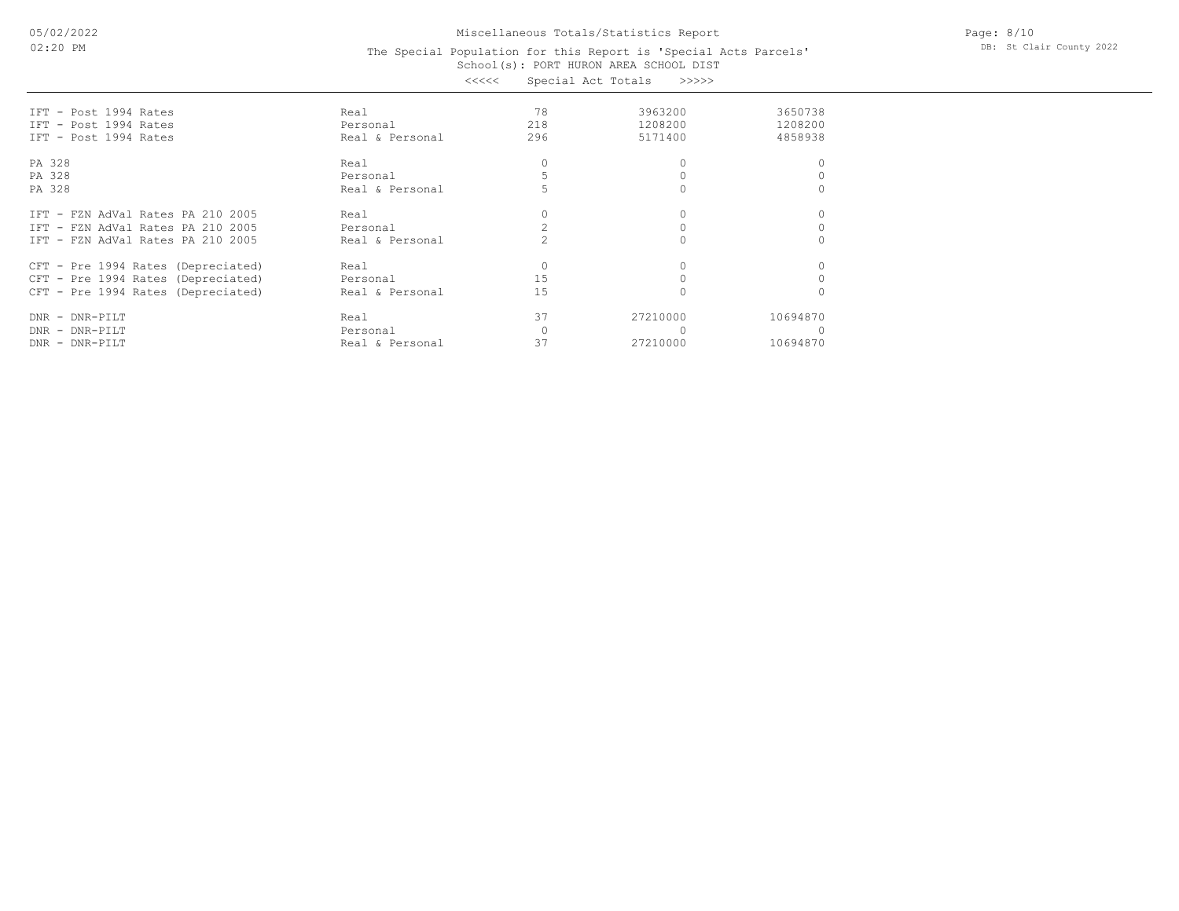05/02/2022 02:20 PM

## Miscellaneous Totals/Statistics Report

#### School(s): PORT HURON AREA SCHOOL DIST The Special Population for this Report is 'Special Acts Parcels' <<<<< Special Act Totals >>>>>

| IFT - Post 1994 Rates              | Real            | 78  | 3963200  | 3650738  |
|------------------------------------|-----------------|-----|----------|----------|
| IFT - Post 1994 Rates              | Personal        | 218 | 1208200  | 1208200  |
| IFT - Post 1994 Rates              | Real & Personal | 296 | 5171400  | 4858938  |
| PA 328                             | Real            |     |          |          |
| PA 328                             | Personal        |     |          |          |
| PA 328                             | Real & Personal |     |          |          |
| IFT - FZN AdVal Rates PA 210 2005  | Real            |     |          |          |
| IFT - FZN AdVal Rates PA 210 2005  | Personal        |     |          |          |
| IFT - FZN AdVal Rates PA 210 2005  | Real & Personal |     |          |          |
| CFT - Pre 1994 Rates (Depreciated) | Real            |     |          |          |
| CFT - Pre 1994 Rates (Depreciated) | Personal        | 15  |          |          |
| CFT - Pre 1994 Rates (Depreciated) | Real & Personal | 15  |          |          |
| DNR - DNR-PILT                     | Real            | 37  | 27210000 | 10694870 |
| DNR - DNR-PILT                     | Personal        |     |          |          |
| DNR - DNR-PILT                     | Real & Personal | 37  | 27210000 | 10694870 |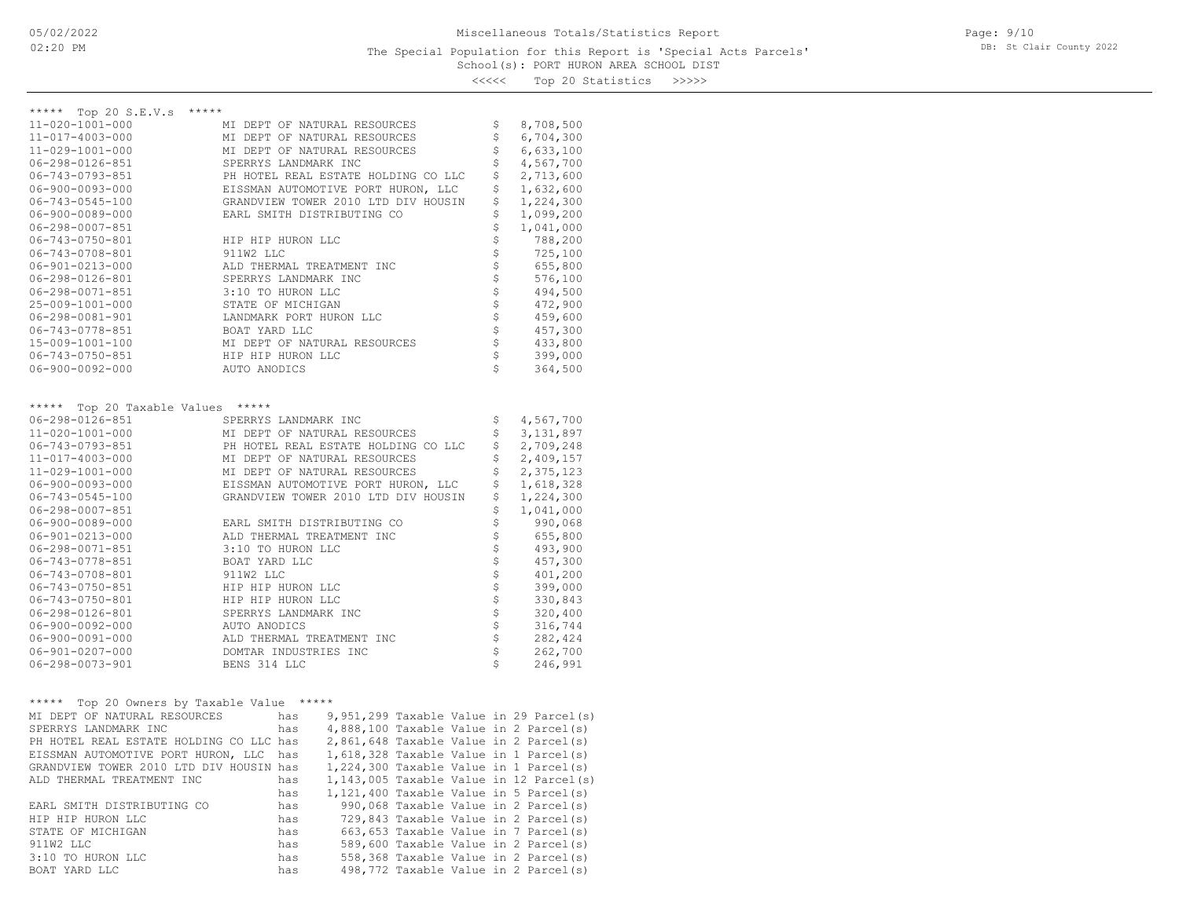## School(s): PORT HURON AREA SCHOOL DIST The Special Population for this Report is 'Special Acts Parcels'

Page: 9/10 DB: St Clair County 2022

<<<<< Top 20 Statistics >>>>>

| ***** Top 20 S.E.V.s *****                                                        |                       |                                     |                                           |                    |             |
|-----------------------------------------------------------------------------------|-----------------------|-------------------------------------|-------------------------------------------|--------------------|-------------|
| 11-020-1001-000                                                                   |                       | MI DEPT OF NATURAL RESOURCES        |                                           | \$                 | 8,708,500   |
| 11-017-4003-000                                                                   |                       | MI DEPT OF NATURAL RESOURCES        |                                           | \$                 | 6,704,300   |
| 11-029-1001-000                                                                   |                       | MI DEPT OF NATURAL RESOURCES        |                                           | \$                 | 6,633,100   |
| $06 - 298 - 0126 - 851$                                                           | SPERRYS LANDMARK INC  |                                     |                                           | \$                 | 4,567,700   |
| 06-743-0793-851                                                                   |                       | PH HOTEL REAL ESTATE HOLDING CO LLC |                                           | \$                 | 2,713,600   |
| $06 - 900 - 0093 - 000$                                                           |                       | EISSMAN AUTOMOTIVE PORT HURON, LLC  |                                           | \$                 | 1,632,600   |
| $06 - 743 - 0545 - 100$                                                           |                       | GRANDVIEW TOWER 2010 LTD DIV HOUSIN |                                           | \$                 | 1,224,300   |
| $06 - 900 - 0089 - 000$                                                           |                       | EARL SMITH DISTRIBUTING CO          |                                           | \$                 | 1,099,200   |
| $06 - 298 - 0007 - 851$                                                           |                       |                                     |                                           | \$                 | 1,041,000   |
| 06-743-0750-801                                                                   | HIP HIP HURON LLC     |                                     |                                           |                    | 788,200     |
| 06-743-0708-801                                                                   | 911W2 LLC             |                                     |                                           | なさな                | 725,100     |
| $06 - 901 - 0213 - 000$                                                           |                       | ALD THERMAL TREATMENT INC           |                                           |                    | 655,800     |
| 06-298-0126-801                                                                   | SPERRYS LANDMARK INC  |                                     |                                           |                    | 576,100     |
| $06 - 298 - 0071 - 851$                                                           | 3:10 TO HURON LLC     |                                     |                                           |                    | 494,500     |
| 25-009-1001-000                                                                   | STATE OF MICHIGAN     |                                     |                                           |                    | 472,900     |
| $06 - 298 - 0081 - 901$                                                           |                       | LANDMARK PORT HURON LLC             |                                           |                    | 459,600     |
| 06-743-0778-851                                                                   | BOAT YARD LLC         |                                     |                                           |                    | 457,300     |
| 15-009-1001-100                                                                   |                       | MI DEPT OF NATURAL RESOURCES        |                                           |                    | 433,800     |
| 06-743-0750-851                                                                   | HIP HIP HURON LLC     |                                     |                                           | \$\$\$\$\$\$\$\$\$ | 399,000     |
| $06 - 900 - 0092 - 000$                                                           | AUTO ANODICS          |                                     |                                           | Ś                  | 364,500     |
|                                                                                   |                       |                                     |                                           |                    |             |
|                                                                                   |                       |                                     |                                           |                    |             |
| Top 20 Taxable Values *****<br>*****                                              |                       |                                     |                                           |                    |             |
| 06-298-0126-851                                                                   | SPERRYS LANDMARK INC  |                                     |                                           | \$                 | 4,567,700   |
| 11-020-1001-000                                                                   |                       | MI DEPT OF NATURAL RESOURCES        |                                           | \$                 | 3, 131, 897 |
| 06-743-0793-851                                                                   |                       | PH HOTEL REAL ESTATE HOLDING CO LLC |                                           | \$                 | 2,709,248   |
| 11-017-4003-000                                                                   |                       | MI DEPT OF NATURAL RESOURCES        |                                           | \$                 | 2,409,157   |
| 11-029-1001-000                                                                   |                       | MI DEPT OF NATURAL RESOURCES        |                                           | \$                 | 2,375,123   |
| $06 - 900 - 0093 - 000$                                                           |                       | EISSMAN AUTOMOTIVE PORT HURON, LLC  |                                           | \$                 | 1,618,328   |
| $06 - 743 - 0545 - 100$                                                           |                       | GRANDVIEW TOWER 2010 LTD DIV HOUSIN |                                           | \$                 | 1,224,300   |
| $06 - 298 - 0007 - 851$                                                           |                       |                                     |                                           | \$                 | 1,041,000   |
| $06 - 900 - 0089 - 000$                                                           |                       | EARL SMITH DISTRIBUTING CO          |                                           | \$                 | 990,068     |
| $06 - 901 - 0213 - 000$                                                           |                       | ALD THERMAL TREATMENT INC           |                                           | \$                 | 655,800     |
| $06 - 298 - 0071 - 851$                                                           | 3:10 TO HURON LLC     |                                     |                                           |                    | 493,900     |
| 06-743-0778-851                                                                   | BOAT YARD LLC         |                                     |                                           |                    | 457,300     |
| 06-743-0708-801                                                                   | 911W2 LLC             |                                     |                                           | \$\$\$\$\$\$\$\$\$ | 401,200     |
| 06-743-0750-851                                                                   | HIP HIP HURON LLC     |                                     |                                           |                    | 399,000     |
| 06-743-0750-801                                                                   | HIP HIP HURON LLC     |                                     |                                           |                    | 330,843     |
| $06 - 298 - 0126 - 801$                                                           | SPERRYS LANDMARK INC  |                                     |                                           |                    | 320,400     |
| $06 - 900 - 0092 - 000$                                                           | AUTO ANODICS          |                                     |                                           |                    | 316,744     |
| $06 - 900 - 0091 - 000$                                                           |                       | ALD THERMAL TREATMENT INC           |                                           |                    | 282,424     |
| $06 - 901 - 0207 - 000$                                                           | DOMTAR INDUSTRIES INC |                                     |                                           | \$\$\$             | 262,700     |
| $06 - 298 - 0073 - 901$                                                           | BENS 314 LLC          |                                     |                                           | Ś                  | 246,991     |
|                                                                                   |                       |                                     |                                           |                    |             |
|                                                                                   |                       |                                     |                                           |                    |             |
| ***** Top 20 Owners by Taxable Value *****                                        |                       |                                     |                                           |                    |             |
| MI DEPT OF NATURAL RESOURCES                                                      |                       | has                                 | $9,951,299$ Taxable Value in 29 Parcel(s) |                    |             |
| SPERRYS LANDMARK INC                                                              | has                   |                                     | 4,888,100 Taxable Value in 2 Parcel(s)    |                    |             |
| PH HOTEL REAL ESTATE HOLDING CO LLC has<br>EISSMAN AUTOMOTIVE PORT HURON, LLC has |                       |                                     | 2,861,648 Taxable Value in 2 Parcel(s)    |                    |             |
| EISSMAN AUTOMOTIVE PORT HURON, LLC has                                            |                       |                                     | $1,618,328$ Taxable Value in 1 Parcel(s)  |                    |             |
| GRANDVIEW TOWER 2010 LTD DIV HOUSIN has                                           |                       |                                     | $1,224,300$ Taxable Value in 1 Parcel(s)  |                    |             |

| ALD THERMAL TREATMENT INC  | has |  |  | $1,143,005$ Taxable Value in 12 Parcel(s) |
|----------------------------|-----|--|--|-------------------------------------------|
|                            | has |  |  | $1,121,400$ Taxable Value in 5 Parcel(s)  |
| EARL SMITH DISTRIBUTING CO | has |  |  | 990,068 Taxable Value in 2 Parcel(s)      |
| HIP HIP HURON LLC          | has |  |  | 729,843 Taxable Value in 2 Parcel(s)      |
| STATE OF MICHIGAN          | has |  |  | 663,653 Taxable Value in 7 Parcel(s)      |
| 911W2 LLC                  | has |  |  | 589,600 Taxable Value in 2 Parcel(s)      |
| 3:10 TO HURON LLC          | has |  |  | 558,368 Taxable Value in 2 Parcel(s)      |
| BOAT YARD LLC              | has |  |  | 498,772 Taxable Value in 2 Parcel(s)      |